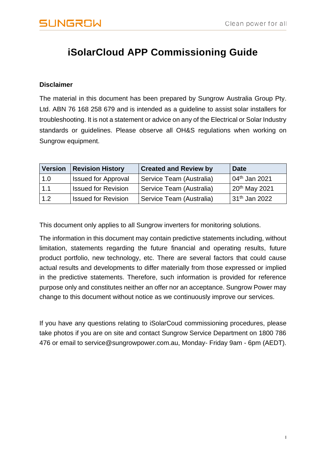## **iSolarCloud APP Commissioning Guide**

#### **Disclaimer**

The material in this document has been prepared by Sungrow Australia Group Pty. Ltd. ABN 76 168 258 679 and is intended as a guideline to assist solar installers for troubleshooting. It is not a statement or advice on any of the Electrical or Solar Industry standards or guidelines. Please observe all OH&S regulations when working on Sungrow equipment.

| <b>Version</b> | <b>Revision History</b>    | <b>Created and Review by</b> | Date                      |
|----------------|----------------------------|------------------------------|---------------------------|
| 1.0            | <b>Issued for Approval</b> | Service Team (Australia)     | 04 <sup>th</sup> Jan 2021 |
| 1.1            | <b>Issued for Revision</b> | Service Team (Australia)     | 20 <sup>th</sup> May 2021 |
| 1.2            | <b>Issued for Revision</b> | Service Team (Australia)     | 31 <sup>th</sup> Jan 2022 |

This document only applies to all Sungrow inverters for monitoring solutions.

The information in this document may contain predictive statements including, without limitation, statements regarding the future financial and operating results, future product portfolio, new technology, etc. There are several factors that could cause actual results and developments to differ materially from those expressed or implied in the predictive statements. Therefore, such information is provided for reference purpose only and constitutes neither an offer nor an acceptance. Sungrow Power may change to this document without notice as we continuously improve our services.

If you have any questions relating to iSolarCoud commissioning procedures, please take photos if you are on site and contact Sungrow Service Department on 1800 786 476 or email to service@sungrowpower.com.au, Monday- Friday 9am - 6pm (AEDT).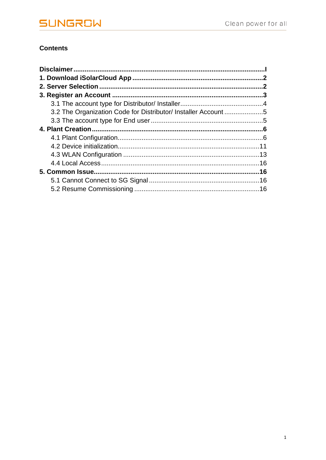#### **Contents**

| 3.2 The Organization Code for Distributor/ Installer Account 5 |  |
|----------------------------------------------------------------|--|
|                                                                |  |
|                                                                |  |
|                                                                |  |
|                                                                |  |
|                                                                |  |
|                                                                |  |
|                                                                |  |
|                                                                |  |
|                                                                |  |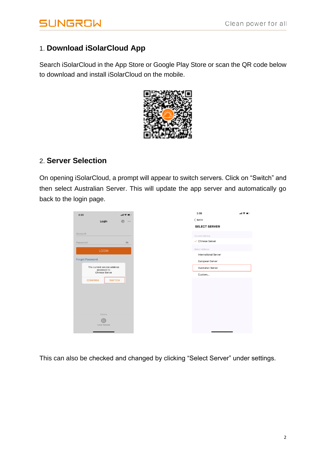### 1. **Download iSolarCloud App**

Search iSolarCloud in the App Store or Google Play Store or scan the QR code below to download and install iSolarCloud on the mobile.



### 2. **Server Selection**

On opening iSolarCloud, a prompt will appear to switch servers. Click on "Switch" and then select Australian Server. This will update the app server and automatically go back to the login page.

| 2:39     |                                             | $m \approx 10$ |
|----------|---------------------------------------------|----------------|
|          | Login                                       | €<br>$\cdots$  |
|          |                                             |                |
| Account  |                                             |                |
| Password |                                             | $\circ$        |
|          | <b>LOGIN</b>                                |                |
|          |                                             |                |
|          | <b>Forgot Password</b>                      |                |
|          | The current service address<br>accessed is: |                |
|          | <b>Chinese Server</b>                       |                |
|          | <b>CONFIRM</b>                              | <b>SWITCH</b>  |
|          |                                             |                |
|          |                                             |                |
|          |                                             |                |
|          |                                             |                |
|          | Others                                      |                |
|          | <b>URIS</b><br>Local Access                 |                |
|          |                                             |                |

This can also be checked and changed by clicking "Select Server" under settings.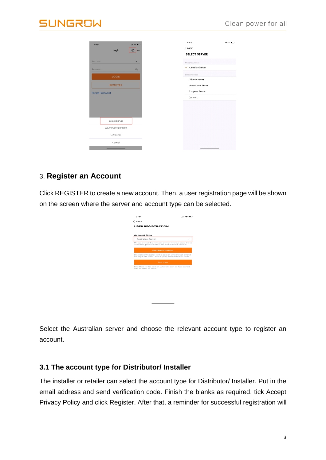| 4:40                   | Login                     | $nH$ 4G $\blacksquare$<br> | 4:40<br>$<$ BACK     | $n$ H 4G $n$ |
|------------------------|---------------------------|----------------------------|----------------------|--------------|
|                        |                           |                            | <b>SELECT SERVER</b> |              |
| Account                |                           |                            | Current Address      |              |
| Password               |                           | $\circ$                    | ✓ Australian Server  |              |
|                        | <b>LOGIN</b>              |                            | Select Address       |              |
|                        |                           |                            | Chinese Server       |              |
|                        | <b>REGISTER</b>           |                            | International Server |              |
| <b>Forgot Password</b> |                           |                            | European Server      |              |
|                        |                           |                            | Custom               |              |
|                        |                           |                            |                      |              |
|                        |                           |                            |                      |              |
|                        |                           |                            |                      |              |
|                        | Select Server             |                            |                      |              |
|                        | <b>WLAN Configuration</b> |                            |                      |              |
|                        | Language                  |                            |                      |              |
|                        | Cancel                    |                            |                      |              |
|                        |                           |                            |                      |              |

#### 3. **Register an Account**

Click REGISTER to create a new account. Then, a user registration page will be shown on the screen where the server and account type can be selected.

| 2:44                                                                                                          |  |
|---------------------------------------------------------------------------------------------------------------|--|
| $\epsilon$ BACK                                                                                               |  |
| <b>USER REGISTRATION</b>                                                                                      |  |
| <b>Account Type</b>                                                                                           |  |
| Australian Server                                                                                             |  |
| Please select the relevant server for your area; if not<br>available, please select the international station |  |
| Distributor/Installer                                                                                         |  |
| Distributor/Installer is the person who install or/and<br>manage the plant, and supply service to end user    |  |
| <b>End User</b>                                                                                               |  |
| End User is the person who will own or has owned<br>one inverter or more                                      |  |
|                                                                                                               |  |
|                                                                                                               |  |
|                                                                                                               |  |
|                                                                                                               |  |

Select the Australian server and choose the relevant account type to register an account.

#### **3.1 The account type for Distributor/ Installer**

The installer or retailer can select the account type for Distributor/ Installer. Put in the email address and send verification code. Finish the blanks as required, tick Accept Privacy Policy and click Register. After that, a reminder for successful registration will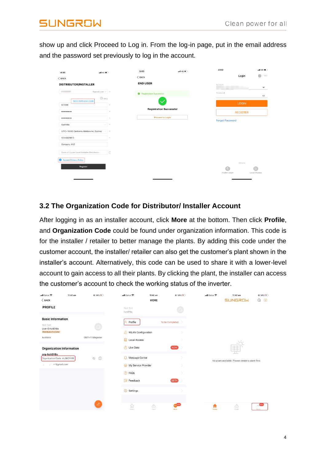show up and click Proceed to Log in. From the log-in page, put in the email address and the password set previously to log in the account.

| 4:00                                      | $-$ 146 $-$                                   |   | 5:00                           | $-$ 40 $-$ | 4:00                   |                 | $-$ 1 4 6 $-$            |  |
|-------------------------------------------|-----------------------------------------------|---|--------------------------------|------------|------------------------|-----------------|--------------------------|--|
| $<$ BACK                                  |                                               |   | $<$ BACK                       |            |                        | Login           | €<br>$\cdots$            |  |
| <b>DISTRIBUTOR/INSTALLER</b>              |                                               |   | <b>END USER</b>                |            | Account                |                 | ▼                        |  |
| <b>Contract Contract Contract</b>         | @gmail.com $\vee$ $\rightarrow$               |   | Registration Successful        |            | Password               |                 | ø                        |  |
| 841606                                    | $\circledcirc$ Help<br>Send Verification Code |   |                                |            |                        | <b>LOGIN</b>    |                          |  |
|                                           |                                               |   | <b>Registration Successful</b> |            |                        | <b>REGISTER</b> |                          |  |
|                                           |                                               |   | Proceed to Login               |            | <b>Forgot Password</b> |                 |                          |  |
| Australia                                 |                                               | ٠ |                                |            |                        |                 |                          |  |
| (UTC+10:00) Canberra, Melbourne, Sydney   | $\checkmark$                                  | ٠ |                                |            |                        |                 |                          |  |
| 12345678910                               |                                               |   |                                |            |                        |                 |                          |  |
| Company XYZ                               |                                               |   |                                |            |                        |                 |                          |  |
| Code of Upper Level Installer/Distributor |                                               | C |                                |            |                        |                 |                          |  |
| Accept Privacy Policy                     |                                               |   |                                |            |                        | Others          |                          |  |
|                                           | Register                                      |   |                                |            | - 69<br>Visitor Login  |                 | $\equiv$<br>Local Access |  |

#### **3.2 The Organization Code for Distributor/ Installer Account**

After logging in as an installer account, click **More** at the bottom. Then click **Profile**, and **Organization Code** could be found under organization information. This code is for the installer / retailer to better manage the plants. By adding this code under the customer account, the installer/ retailer can also get the customer's plant shown in the installer's account. Alternatively, this code can be used to share it with a lower-level account to gain access to all their plants. By clicking the plant, the installer can access the customer's account to check the working status of the inverter.

| ull Optus 후                                 | 11:42 am | $@14\%11$         | ull Optus 후                 | 11:42 am                  | $@14\%11$              | ull Optus 후 | $11:42$ am                                       | $@14\%14$               |
|---------------------------------------------|----------|-------------------|-----------------------------|---------------------------|------------------------|-------------|--------------------------------------------------|-------------------------|
| $\langle$ BACK                              |          |                   |                             | <b>MORE</b>               |                        |             | <b>SUNGROW</b>                                   | $\alpha$<br>$\bigoplus$ |
| <b>PROFILE</b>                              |          |                   | Not Set<br>hzti018s         |                           | ŋ                      |             |                                                  |                         |
| <b>Basic Information</b><br>Not Set         |          | ∞                 | Ω<br>Profile                |                           | To Be Completed >      |             |                                                  |                         |
| User ID:hzti018s<br>Distributor/Installer   |          |                   | <b>A</b> WLAN Configuration |                           |                        |             |                                                  |                         |
| Australia                                   |          | GMT+11 Magadan    | Е<br>Local Access           |                           |                        |             |                                                  |                         |
| <b>Organization Information</b>             |          |                   | Ō<br>Live Data              |                           | NEW                    |             |                                                  |                         |
| org-hzti018s<br>Organization Code: AUSKDYME |          | $\odot$<br>$\Box$ | Message Center<br>Ω         |                           |                        |             | No plant available. Please create a plant first. |                         |
| recogmail.com<br>u.                         |          |                   | My Service Provider<br>⊝    |                           |                        |             |                                                  |                         |
|                                             |          |                   | ? FAQs                      |                           |                        |             |                                                  |                         |
|                                             |          |                   | Feedback                    |                           | <b>BETA</b>            |             |                                                  |                         |
|                                             |          |                   | Settings                    |                           |                        |             |                                                  |                         |
|                                             |          |                   |                             |                           |                        |             |                                                  |                         |
|                                             |          | $\mathscr{L}$     | 佡<br>Home                   | $\bigtriangleup$<br>Fault | <b>CONTROL</b><br>More | A<br>Home   | △<br>Fault                                       | RIEWS<br>More           |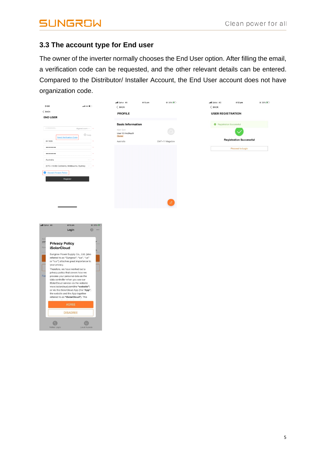$\odot$ 

 $\begin{array}{c} \bullet \\ \bullet \end{array}$ 

#### **3.3 The account type for End user**

The owner of the inverter normally chooses the End User option. After filling the email, a verification code can be requested, and the other relevant details can be entered. Compared to the Distributor/ Installer Account, the End User account does not have organization code.

| 3:59<br>$-$ ull 46<br>$<$ BACK<br><b>END USER</b>                                                                                                                                                                                                                                                                                                                                                                                                                                                                                                                                                                                                                   | all Optus 4G<br>4:13 pm<br>$<$ BACK<br><b>PROFILE</b>                         | $@39\%$        | @39%<br>.tll Optus 4G<br>4:13 pm<br>< BACK<br><b>USER REGISTRATION</b>        |
|---------------------------------------------------------------------------------------------------------------------------------------------------------------------------------------------------------------------------------------------------------------------------------------------------------------------------------------------------------------------------------------------------------------------------------------------------------------------------------------------------------------------------------------------------------------------------------------------------------------------------------------------------------------------|-------------------------------------------------------------------------------|----------------|-------------------------------------------------------------------------------|
| @gmail.com $\vee$ *<br><b>CONTRACTOR</b><br>$\textcircled{\scriptsize{1}}$ Help<br><b>Send Verification Code</b><br>841606<br><br><br>Australia<br>$\checkmark$<br>(UTC+10:00) Canberra, Melbourne, Sydney<br>$\sim$ $\sim$<br><b>Accept Privacy Policy</b><br>ø<br>Register                                                                                                                                                                                                                                                                                                                                                                                        | <b>Basic Information</b><br>Not Set<br>User ID:hkc9iqc9<br>Owner<br>Australia | GMT+11 Magadan | Registration Successful<br><b>Registration Successful</b><br>Proceed to Login |
| $4:13$ pm<br>Il Optus 4G<br>$Q$ 39% $+$<br>谷 …<br>Login<br>Acc<br>yan<br><b>Privacy Policy</b><br><b>iSolarCloud</b><br>Pas<br>Sungrow Power Supply Co., Ltd. (also<br>referred to as "Sungrow"; "we", "us"<br>or "our") attaches great importance to<br>your privacy.<br>Therefore, we have worked out a<br>privacy policy that covers how we<br>For<br>process your personal data as the<br>data controller when you use our<br>iSolarCloud service via the website<br>www.isolarcloud.com(the "website")<br>or via the iSolarCloud App (the "App";<br>the website and the App together<br>referred to as "iSolarCloud"). This<br><b>AGREE</b><br><b>DISAGREE</b> |                                                                               |                |                                                                               |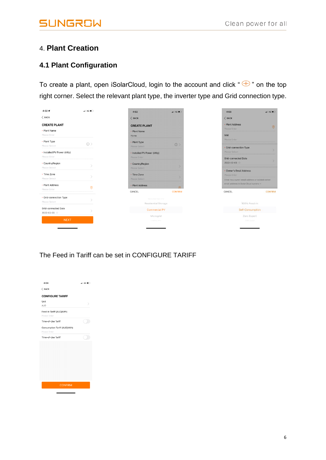#### 4. **Plant Creation**

#### **4.1 Plant Configuration**

To create a plant, open iSolarCloud, login to the account and click " $\bigoplus$ " on the top right corner. Select the relevant plant type, the inverter type and Grid connection type.

| $4:02 - 7$<br>$  $ 4G $  $                 |   | 4:02                                       | $\blacksquare$ 4G $\blacksquare$ | 4:03                                                                                    | $-14G$         |
|--------------------------------------------|---|--------------------------------------------|----------------------------------|-----------------------------------------------------------------------------------------|----------------|
| $\langle$ BACK                             |   | $<$ BACK                                   |                                  | $<$ BACK                                                                                |                |
| <b>CREATE PLANT</b><br>• Plant Name        |   | <b>CREATE PLANT</b><br>• Plant Name        |                                  | · Plant Address<br>Please Enter                                                         | $\circ$        |
| Please Enter                               |   | Home                                       |                                  | <b>NMI</b><br>Please Enter                                                              |                |
| • Plant Type<br>(i)<br>Please Select       |   | • Plant Type<br>Please Select              | $\circ$                          | · Grid-connection Type                                                                  |                |
| • Installed PV Power (kWp)<br>Please Enter |   | • Installed PV Power (kWp)<br>Please Enter |                                  | Please Select                                                                           |                |
| • Country/Region<br>Please Select          |   | • Country/Region<br>Please Select          |                                  | <b>Grid-connected Date</b><br>2022-02-03                                                |                |
| • Time Zone<br>Please Select               |   | • Time Zone<br>Please Select               |                                  | · Owner's Email Address<br>Please Enter                                                 |                |
| • Plant Address                            | 0 | • Plant Address                            | ෧                                | Enter new owner email address or existed owner.<br>email address in iSolarCloud system. |                |
| Please Enter                               |   | CANCEL                                     | <b>CONFIRM</b>                   | CANCEL                                                                                  | <b>CONFIRM</b> |
| • Grid-connection Type<br>Please Select    |   | Residential PV<br>Residential Storage      |                                  | 100% Feed-in                                                                            |                |
| Grid-connected Date<br>2022-02-03          |   | <b>Commercial PV</b>                       |                                  | Self-Consumption                                                                        |                |
| <b>NEXT</b>                                |   | Microgrid<br>Utility PV                    |                                  | Zero Export<br>Off-oriet                                                                |                |
|                                            |   |                                            |                                  |                                                                                         |                |

The Feed in Tariff can be set in CONFIGURE TARIFF

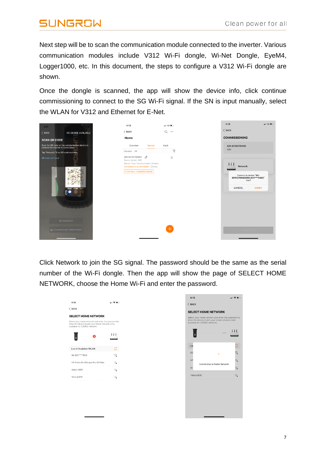Next step will be to scan the communication module connected to the inverter. Various communication modules include V312 Wi-Fi dongle, Wi-Net Dongle, EyeM4, Logger1000, etc. In this document, the steps to configure a V312 Wi-Fi dongle are shown.

Once the dongle is scanned, the app will show the device info, click continue commissioning to connect to the SG Wi-Fi signal. If the SN is input manually, select the WLAN for V312 and Ethernet for E-Net.

| ٠<br>4:07                                                                               | 4:13                                                                                                                                           | $\blacksquare$ 4G $\blacksquare$ | 4:13<br>$  460\rangle$                                                                                                    |
|-----------------------------------------------------------------------------------------|------------------------------------------------------------------------------------------------------------------------------------------------|----------------------------------|---------------------------------------------------------------------------------------------------------------------------|
| $\langle$ BACK<br>NO DEVICE AVAILABLE                                                   | $\langle$ BACK                                                                                                                                 | Q                                | $<$ BACK                                                                                                                  |
| <b>SCAN QR CODE</b>                                                                     | Home                                                                                                                                           |                                  | <b>COMMISSIONING</b>                                                                                                      |
| Scan the QR code on the communication device to<br>connect the inverter to iSolarCloud. | Overview<br><b>Device</b>                                                                                                                      | Fault                            | S/N: B2152700402                                                                                                          |
| Tap "Manually" if no QR code available.                                                 | Current: All                                                                                                                                   | $\triangledown$                  | WiFi                                                                                                                      |
| QR code not found<br><b>COM NO</b><br><b>RUN</b><br>$_{\mathbb{F}}$ $\bullet$           | S/N: B2152700402<br>Device Model: WiFi<br>Device Type: Communication Module<br>Commissioning Unfinished 7Help<br><b>CONTINUE COMMISSIONING</b> | Ū                                | 111<br><b>Network</b><br><b>COLOR</b><br>Connect to device "SG-<br>B2152700402/SG-B21****0402"<br>now?<br>CANCEL<br>AGREE |
| <b>BU MANUALLY</b>                                                                      |                                                                                                                                                |                                  |                                                                                                                           |
| ED SCAN OR CODE FROM PHOTO                                                              |                                                                                                                                                | $\pm$                            | <b>COMPLETE</b>                                                                                                           |

Click Network to join the SG signal. The password should be the same as the serial number of the Wi-Fi dongle. Then the app will show the page of SELECT HOME NETWORK, choose the Home Wi-Fi and enter the password.

| 4:14<br>$\langle$ BACK                                                                                                                                                | ⊣I କ ∎        |
|-----------------------------------------------------------------------------------------------------------------------------------------------------------------------|---------------|
|                                                                                                                                                                       |               |
| <b>SELECT HOME NETWORK</b><br>Select your home network and enter the password to<br>allow the device to join your home network.(only<br>available for 2.4GHz network) |               |
| ☎                                                                                                                                                                     | Ħ<br>$\cdots$ |
| List of Available WLAN                                                                                                                                                | Ø             |
| SG-B21****1936                                                                                                                                                        | ଲ             |
| HP-Print-46-Officejet Pro X576dw                                                                                                                                      | ್ಲ            |
| Action NSW                                                                                                                                                            | ଲ             |
| Telstra081C                                                                                                                                                           | ್             |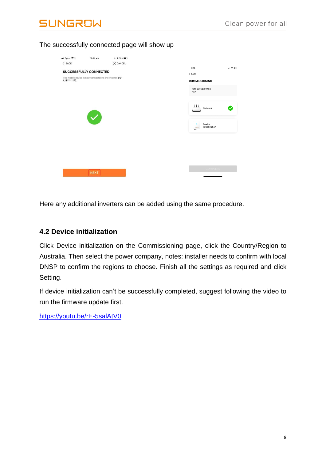

#### The successfully connected page will show up

| nil Optus 후              | 10:14 am                                                                                                 | $\mathsf{L} \oplus 78\%$ |  |                                                                                                                                                             |                                     |
|--------------------------|----------------------------------------------------------------------------------------------------------|--------------------------|--|-------------------------------------------------------------------------------------------------------------------------------------------------------------|-------------------------------------|
| $<$ BACK<br>A19****1172. | SUCCESSFULLY CONNECTED<br>The mobile device is now connected to the inverter SG-<br>$\blacktriangledown$ | $\times$ CANCEL          |  | 4:15<br>$<$ BACK<br><b>COMMISSIONING</b><br>S/N: B2152700402<br>WiFi<br>Ħ<br>Network<br>----<br>Device<br>$\Box$<br>Initialization<br>Bastillo<br><b>TT</b> | ⊣ାକ∎ା<br>$\boldsymbol{\mathcal{S}}$ |
|                          | <b>NEXT</b>                                                                                              |                          |  | <b>COMPLETE</b>                                                                                                                                             |                                     |

Here any additional inverters can be added using the same procedure.

#### **4.2 Device initialization**

Click Device initialization on the Commissioning page, click the Country/Region to Australia. Then select the power company, notes: installer needs to confirm with local DNSP to confirm the regions to choose. Finish all the settings as required and click Setting.

If device initialization can't be successfully completed, suggest following the video to run the firmware update first.

<https://youtu.be/rE-5salAtV0>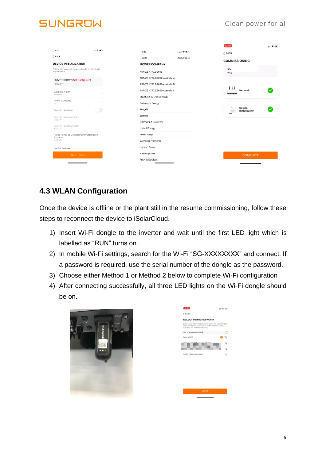# **INGROW**

| 4:17                                                                 | 제 오르다 |                                   |          | 12:00                                          | 出金粉 |
|----------------------------------------------------------------------|-------|-----------------------------------|----------|------------------------------------------------|-----|
| $\langle$ BACK                                                       |       | 4:17                              |          | $\langle$ BACK                                 |     |
|                                                                      |       | $<$ BACK                          | COMPLETE | <b>COMMISSIONING</b>                           |     |
| <b>DEVICE INITIALIZATION</b>                                         |       | <b>POWER COMPANY</b>              |          |                                                |     |
| Set inverter parameters according to the local grid<br>requirements. |       | AS/NZS 4777.2:2015                |          | $S/N$ :<br>WiFi                                |     |
| S/N: 11111111111(Not Configured)                                     |       | AS/NZS 4777.2:2020 Australia A    |          |                                                |     |
| SG7.0RT                                                              |       | AS/NZS 4777.2:2020 Australia B    |          |                                                |     |
| Country/Region<br>Australia                                          |       | AS/NZS 4777.2:2020 Australia C    |          | Ħ<br>Network<br>----                           |     |
|                                                                      |       | <b>ENERGEX &amp; Ergon Energy</b> |          |                                                |     |
| Power Company                                                        |       | Endeavour Energy                  |          |                                                |     |
| Feed-in Limitation                                                   |       | Ausgrid                           |          | o<br><b>Device</b><br>Initialization<br>BUNDAD |     |
| Feed-in Limitation Value                                             |       | Jemena                            |          | m                                              |     |
| 7.00 kW                                                              |       | CitiPower & Powercor              |          |                                                |     |
| Feed-in Limitation Ratio<br>100.0%                                   |       | <b>United Energy</b>              |          |                                                |     |
| Rated Power of Original Power Generation                             |       | PowerWater                        |          |                                                |     |
| Systems<br>0.00 kW                                                   |       | <b>SA Power Networks</b>          |          |                                                |     |
| Device Address                                                       |       | Horizon Power                     |          |                                                |     |
| <b>SETTINGS</b>                                                      |       | westernpower                      |          | <b>COMPLETE</b>                                |     |
|                                                                      |       | <b>AusNet Services</b>            |          |                                                |     |

### **4.3 WLAN Configuration**

Once the device is offline or the plant still in the resume commissioning, follow these steps to reconnect the device to iSolarCloud.

- 1) Insert Wi-Fi dongle to the inverter and wait until the first LED light which is labelled as "RUN" turns on.
- 2) In mobile Wi-Fi settings, search for the Wi-Fi "SG-XXXXXXXX" and connect. If a password is required, use the serial number of the dongle as the password.
- 3) Choose either Method 1 or Method 2 below to complete Wi-Fi configuration
- 4) After connecting successfully, all three LED lights on the Wi-Fi dongle should be on.



| $<$ BACK                                                                                                                                |  |
|-----------------------------------------------------------------------------------------------------------------------------------------|--|
| <b>SELECT HOME NETWORK</b>                                                                                                              |  |
| Select your home network and enter the password to<br>allow the device to join your home network.(only<br>available for 2.4GHz network) |  |
| List of Available WLAN                                                                                                                  |  |
| Telstra081C                                                                                                                             |  |
| <b>JOY</b>                                                                                                                              |  |
|                                                                                                                                         |  |
| DIRECT-jNM288x Series                                                                                                                   |  |
|                                                                                                                                         |  |
|                                                                                                                                         |  |
|                                                                                                                                         |  |
|                                                                                                                                         |  |
|                                                                                                                                         |  |
|                                                                                                                                         |  |
|                                                                                                                                         |  |
|                                                                                                                                         |  |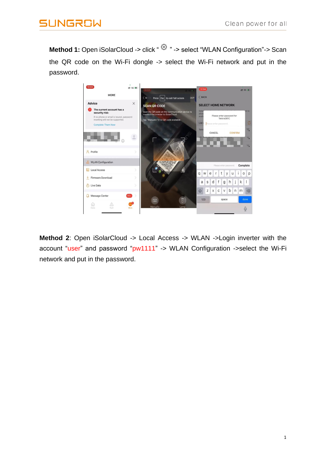**Method 1:** Open iSolarCloud -> click " <a> select "WLAN Configuration"-> Scan the QR code on the Wi-Fi dongle -> select the Wi-Fi network and put in the password.



**Method 2:** Open iSolarCloud -> Local Access -> WLAN ->Login inverter with the account "user" and password "pw1111" -> WLAN Configuration ->select the Wi-Fi network and put in the password.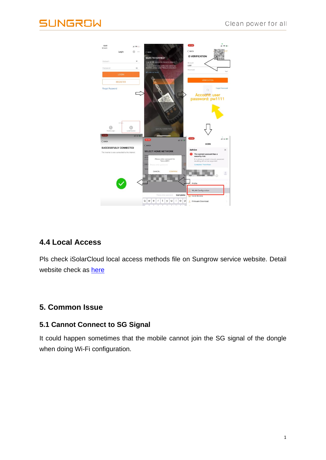

### **4.4 Local Access**

Pls check iSolarCloud local access methods file on Sungrow service website. Detail website check as **[here](https://drive.google.com/file/d/1LNiDrw2NnPRCsN4SUWMqmzj5fKzN2FTc/view)** 

### **5. Common Issue**

#### **5.1 Cannot Connect to SG Signal**

It could happen sometimes that the mobile cannot join the SG signal of the dongle when doing Wi-Fi configuration.